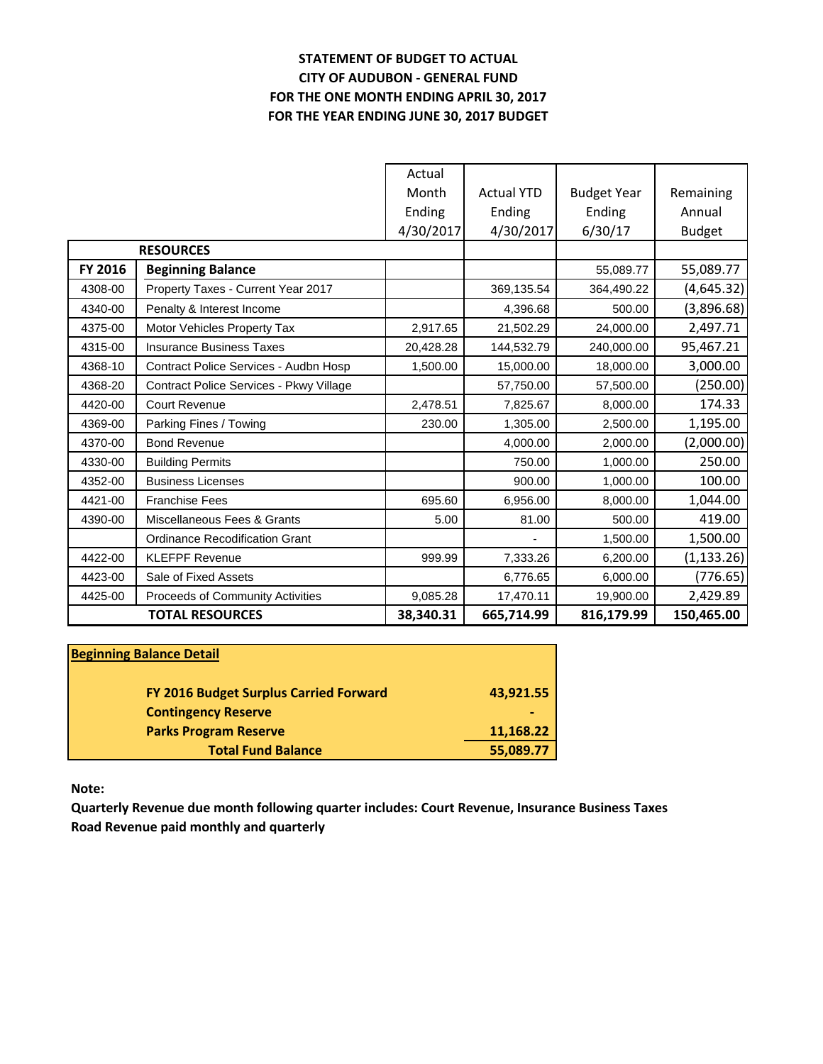# **STATEMENT OF BUDGET TO ACTUAL CITY OF AUDUBON - GENERAL FUND FOR THE ONE MONTH ENDING APRIL 30, 2017 FOR THE YEAR ENDING JUNE 30, 2017 BUDGET**

|         |                                         | Actual    |                   |                    |               |
|---------|-----------------------------------------|-----------|-------------------|--------------------|---------------|
|         |                                         | Month     | <b>Actual YTD</b> | <b>Budget Year</b> | Remaining     |
|         |                                         | Ending    | Ending            | Ending             | Annual        |
|         |                                         | 4/30/2017 | 4/30/2017         | 6/30/17            | <b>Budget</b> |
|         | <b>RESOURCES</b>                        |           |                   |                    |               |
| FY 2016 | <b>Beginning Balance</b>                |           |                   | 55,089.77          | 55,089.77     |
| 4308-00 | Property Taxes - Current Year 2017      |           | 369,135.54        | 364,490.22         | (4,645.32)    |
| 4340-00 | Penalty & Interest Income               |           | 4,396.68          | 500.00             | (3,896.68)    |
| 4375-00 | Motor Vehicles Property Tax             | 2,917.65  | 21,502.29         | 24,000.00          | 2,497.71      |
| 4315-00 | <b>Insurance Business Taxes</b>         | 20,428.28 | 144,532.79        | 240,000.00         | 95,467.21     |
| 4368-10 | Contract Police Services - Audbn Hosp   | 1,500.00  | 15,000.00         | 18,000.00          | 3,000.00      |
| 4368-20 | Contract Police Services - Pkwy Village |           | 57,750.00         | 57,500.00          | (250.00)      |
| 4420-00 | Court Revenue                           | 2,478.51  | 7,825.67          | 8,000.00           | 174.33        |
| 4369-00 | Parking Fines / Towing                  | 230.00    | 1,305.00          | 2,500.00           | 1,195.00      |
| 4370-00 | <b>Bond Revenue</b>                     |           | 4,000.00          | 2,000.00           | (2,000.00)    |
| 4330-00 | <b>Building Permits</b>                 |           | 750.00            | 1,000.00           | 250.00        |
| 4352-00 | <b>Business Licenses</b>                |           | 900.00            | 1,000.00           | 100.00        |
| 4421-00 | <b>Franchise Fees</b>                   | 695.60    | 6,956.00          | 8,000.00           | 1,044.00      |
| 4390-00 | Miscellaneous Fees & Grants             | 5.00      | 81.00             | 500.00             | 419.00        |
|         | <b>Ordinance Recodification Grant</b>   |           |                   | 1,500.00           | 1,500.00      |
| 4422-00 | <b>KLEFPF Revenue</b>                   | 999.99    | 7,333.26          | 6,200.00           | (1, 133.26)   |
| 4423-00 | Sale of Fixed Assets                    |           | 6,776.65          | 6,000.00           | (776.65)      |
| 4425-00 | Proceeds of Community Activities        | 9,085.28  | 17,470.11         | 19,900.00          | 2,429.89      |
|         | <b>TOTAL RESOURCES</b>                  | 38,340.31 | 665,714.99        | 816,179.99         | 150,465.00    |

| <b>Beginning Balance Detail</b>        |           |
|----------------------------------------|-----------|
| FY 2016 Budget Surplus Carried Forward | 43,921.55 |
| <b>Contingency Reserve</b>             | ٠         |
| <b>Parks Program Reserve</b>           | 11,168.22 |
| <b>Total Fund Balance</b>              | 55,089.77 |

**Note:**

**Quarterly Revenue due month following quarter includes: Court Revenue, Insurance Business Taxes Road Revenue paid monthly and quarterly**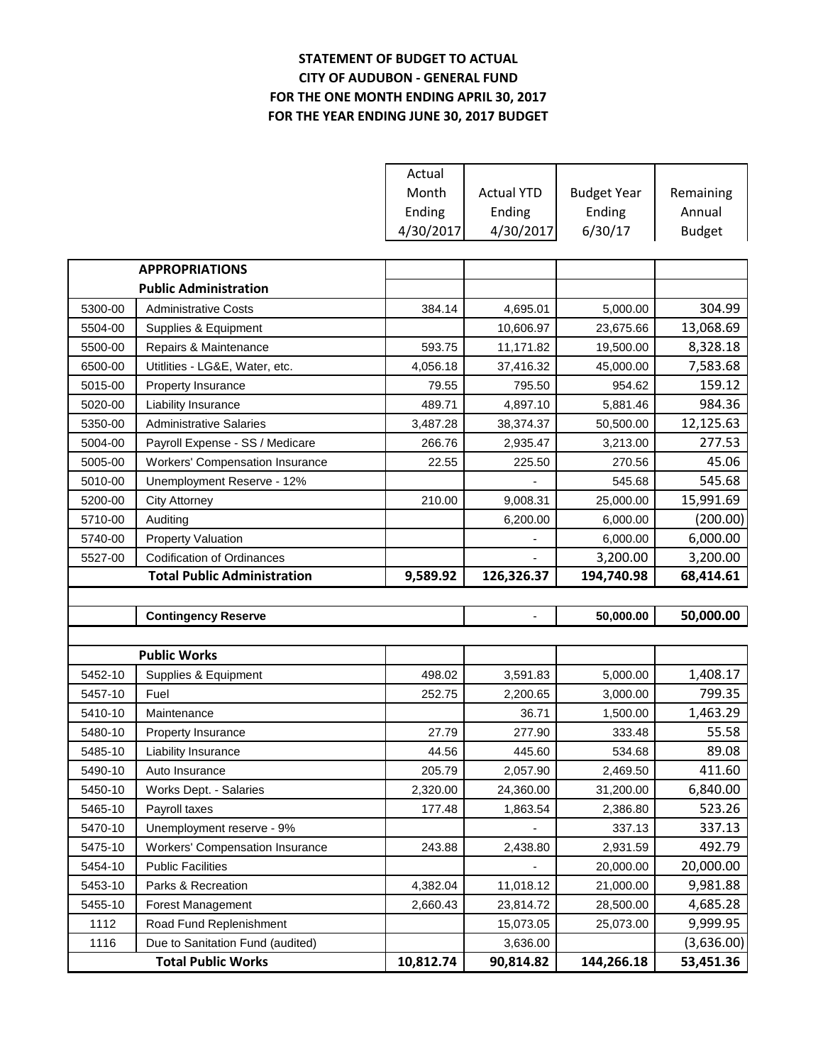# **STATEMENT OF BUDGET TO ACTUAL CITY OF AUDUBON - GENERAL FUND FOR THE ONE MONTH ENDING APRIL 30, 2017 FOR THE YEAR ENDING JUNE 30, 2017 BUDGET**

|         |                                        | Actual    |                          |                    |               |
|---------|----------------------------------------|-----------|--------------------------|--------------------|---------------|
|         |                                        | Month     | <b>Actual YTD</b>        | <b>Budget Year</b> | Remaining     |
|         |                                        | Ending    | Ending                   | Ending             | Annual        |
|         |                                        | 4/30/2017 | 4/30/2017                | 6/30/17            | <b>Budget</b> |
|         |                                        |           |                          |                    |               |
|         | <b>APPROPRIATIONS</b>                  |           |                          |                    |               |
|         | <b>Public Administration</b>           |           |                          |                    |               |
| 5300-00 | <b>Administrative Costs</b>            | 384.14    | 4,695.01                 | 5,000.00           | 304.99        |
| 5504-00 | Supplies & Equipment                   |           | 10,606.97                | 23,675.66          | 13,068.69     |
| 5500-00 | Repairs & Maintenance                  | 593.75    | 11,171.82                | 19,500.00          | 8,328.18      |
| 6500-00 | Utitlities - LG&E, Water, etc.         | 4,056.18  | 37,416.32                | 45,000.00          | 7,583.68      |
| 5015-00 | Property Insurance                     | 79.55     | 795.50                   | 954.62             | 159.12        |
| 5020-00 | Liability Insurance                    | 489.71    | 4,897.10                 | 5,881.46           | 984.36        |
| 5350-00 | <b>Administrative Salaries</b>         | 3,487.28  | 38,374.37                | 50,500.00          | 12,125.63     |
| 5004-00 | Payroll Expense - SS / Medicare        | 266.76    | 2,935.47                 | 3,213.00           | 277.53        |
| 5005-00 | <b>Workers' Compensation Insurance</b> | 22.55     | 225.50                   | 270.56             | 45.06         |
| 5010-00 | Unemployment Reserve - 12%             |           |                          | 545.68             | 545.68        |
| 5200-00 | <b>City Attorney</b>                   | 210.00    | 9,008.31                 | 25,000.00          | 15,991.69     |
| 5710-00 | Auditing                               |           | 6,200.00                 | 6,000.00           | (200.00)      |
| 5740-00 | <b>Property Valuation</b>              |           |                          | 6,000.00           | 6,000.00      |
| 5527-00 | <b>Codification of Ordinances</b>      |           |                          | 3,200.00           | 3,200.00      |
|         |                                        |           |                          |                    |               |
|         | <b>Total Public Administration</b>     | 9,589.92  | 126,326.37               | 194,740.98         | 68,414.61     |
|         |                                        |           |                          |                    |               |
|         | <b>Contingency Reserve</b>             |           | $\overline{\phantom{a}}$ | 50,000.00          | 50,000.00     |
|         |                                        |           |                          |                    |               |
|         | <b>Public Works</b>                    |           |                          |                    |               |
| 5452-10 | Supplies & Equipment                   | 498.02    | 3,591.83                 | 5,000.00           | 1,408.17      |
| 5457-10 | Fuel                                   | 252.75    | 2,200.65                 | 3,000.00           | 799.35        |
| 5410-10 | Maintenance                            |           | 36.71                    | 1,500.00           | 1,463.29      |
| 5480-10 | Property Insurance                     | 27.79     | 277.90                   | 333.48             | 55.58         |
| 5485-10 | Liability Insurance                    | 44.56     | 445.60                   | 534.68             | 89.08         |
| 5490-10 | Auto Insurance                         | 205.79    | 2,057.90                 | 2,469.50           | 411.60        |
| 5450-10 | Works Dept. - Salaries                 | 2,320.00  | 24,360.00                | 31,200.00          | 6,840.00      |
| 5465-10 | Payroll taxes                          | 177.48    | 1,863.54                 | 2,386.80           | 523.26        |
| 5470-10 | Unemployment reserve - 9%              |           |                          | 337.13             | 337.13        |
| 5475-10 | <b>Workers' Compensation Insurance</b> | 243.88    | 2,438.80                 | 2,931.59           | 492.79        |
| 5454-10 | <b>Public Facilities</b>               |           |                          | 20,000.00          | 20,000.00     |
| 5453-10 | Parks & Recreation                     | 4,382.04  | 11,018.12                | 21,000.00          | 9,981.88      |
| 5455-10 | Forest Management                      | 2,660.43  | 23,814.72                | 28,500.00          | 4,685.28      |
| 1112    | Road Fund Replenishment                |           | 15,073.05                | 25,073.00          | 9,999.95      |
| 1116    | Due to Sanitation Fund (audited)       |           | 3,636.00                 |                    | (3,636.00)    |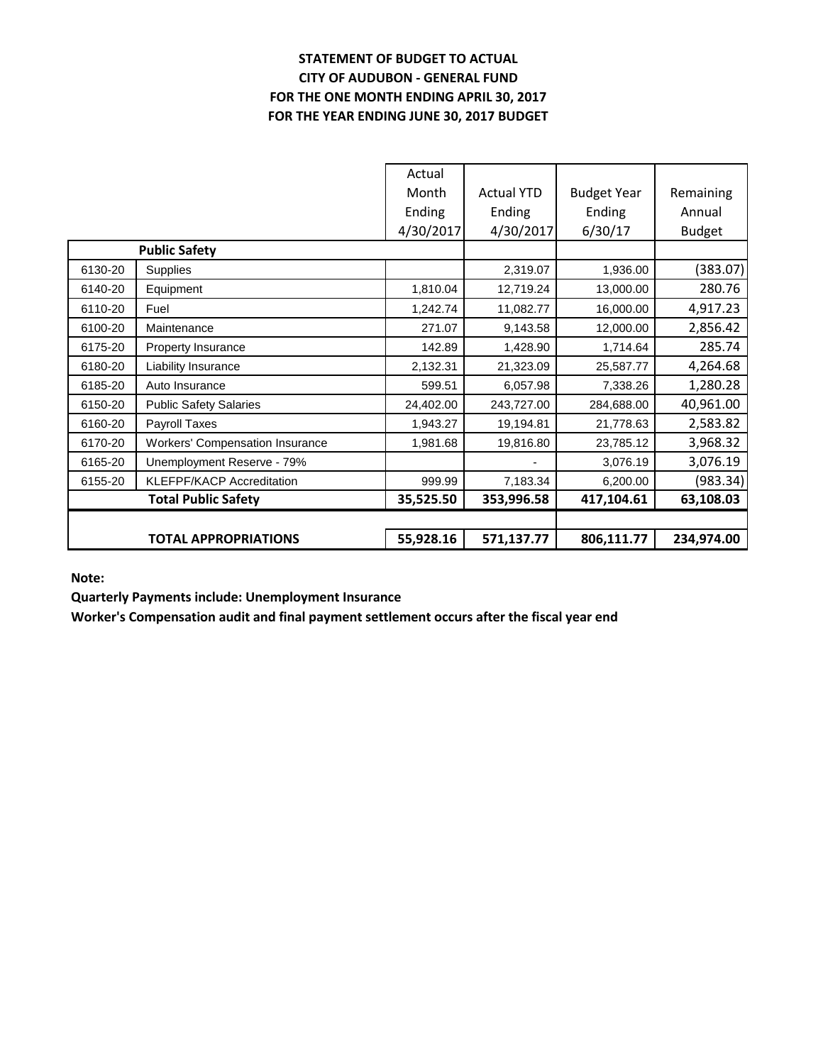# **STATEMENT OF BUDGET TO ACTUAL CITY OF AUDUBON - GENERAL FUND FOR THE ONE MONTH ENDING APRIL 30, 2017 FOR THE YEAR ENDING JUNE 30, 2017 BUDGET**

|         | <b>TOTAL APPROPRIATIONS</b>            | 55,928.16 | 571,137.77        | 806,111.77         | 234,974.00    |
|---------|----------------------------------------|-----------|-------------------|--------------------|---------------|
|         |                                        |           |                   |                    |               |
|         | <b>Total Public Safety</b>             | 35,525.50 | 353,996.58        | 417,104.61         | 63,108.03     |
| 6155-20 | <b>KLEFPF/KACP Accreditation</b>       | 999.99    | 7,183.34          | 6,200.00           | (983.34)      |
| 6165-20 | Unemployment Reserve - 79%             |           |                   | 3,076.19           | 3,076.19      |
| 6170-20 | <b>Workers' Compensation Insurance</b> | 1,981.68  | 19,816.80         | 23,785.12          | 3,968.32      |
| 6160-20 | Payroll Taxes                          | 1,943.27  | 19,194.81         | 21,778.63          | 2,583.82      |
| 6150-20 | <b>Public Safety Salaries</b>          | 24,402.00 | 243,727.00        | 284,688.00         | 40,961.00     |
| 6185-20 | Auto Insurance                         | 599.51    | 6,057.98          | 7,338.26           | 1,280.28      |
| 6180-20 | Liability Insurance                    | 2,132.31  | 21,323.09         | 25,587.77          | 4,264.68      |
| 6175-20 | Property Insurance                     | 142.89    | 1,428.90          | 1,714.64           | 285.74        |
| 6100-20 | Maintenance                            | 271.07    | 9,143.58          | 12,000.00          | 2,856.42      |
| 6110-20 | Fuel                                   | 1,242.74  | 11,082.77         | 16,000.00          | 4,917.23      |
| 6140-20 | Equipment                              | 1,810.04  | 12,719.24         | 13,000.00          | 280.76        |
| 6130-20 | Supplies                               |           | 2,319.07          | 1,936.00           | (383.07)      |
|         | <b>Public Safety</b>                   |           |                   |                    |               |
|         |                                        | 4/30/2017 | 4/30/2017         | 6/30/17            | <b>Budget</b> |
|         |                                        | Ending    | Ending            | Ending             | Annual        |
|         |                                        | Month     | <b>Actual YTD</b> | <b>Budget Year</b> | Remaining     |
|         |                                        | Actual    |                   |                    |               |

**Note:**

**Quarterly Payments include: Unemployment Insurance**

**Worker's Compensation audit and final payment settlement occurs after the fiscal year end**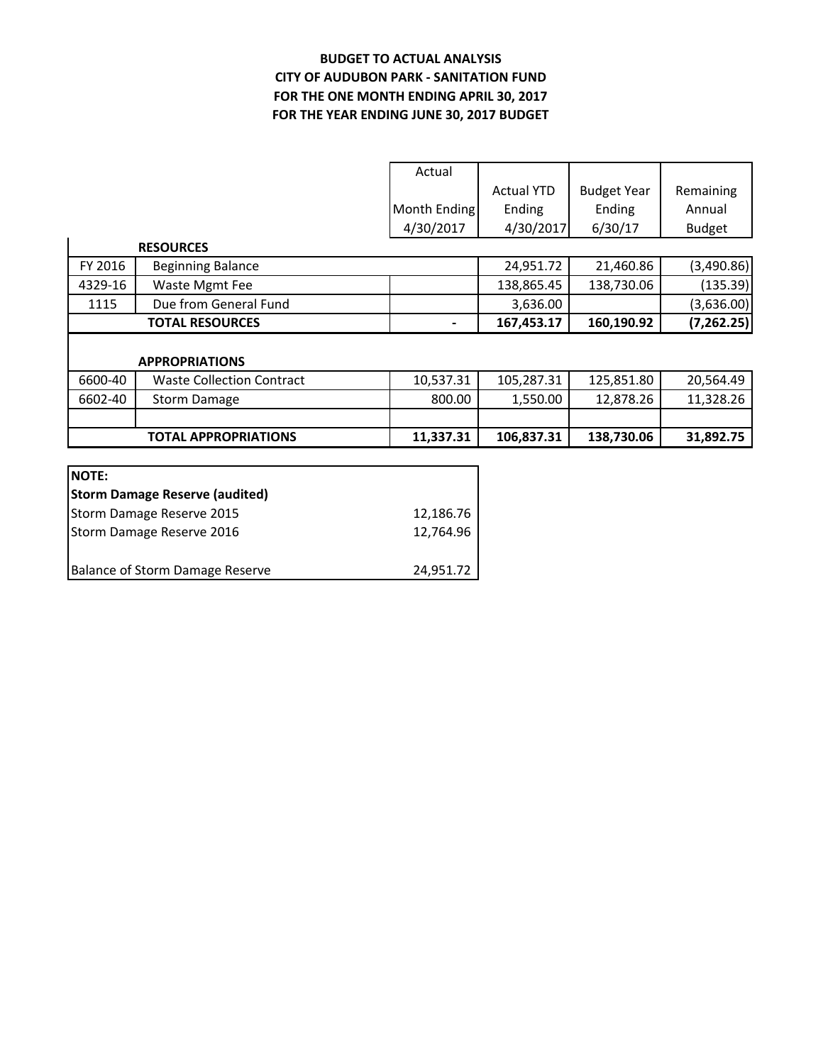### **BUDGET TO ACTUAL ANALYSIS CITY OF AUDUBON PARK - SANITATION FUND FOR THE YEAR ENDING JUNE 30, 2017 BUDGET FOR THE ONE MONTH ENDING APRIL 30, 2017**

|              |                                  | Actual       |                   |                    |               |
|--------------|----------------------------------|--------------|-------------------|--------------------|---------------|
|              |                                  |              | <b>Actual YTD</b> | <b>Budget Year</b> | Remaining     |
|              |                                  | Month Ending | Ending            | Ending             | Annual        |
|              |                                  | 4/30/2017    | 4/30/2017         | 6/30/17            | <b>Budget</b> |
|              | <b>RESOURCES</b>                 |              |                   |                    |               |
| FY 2016      | <b>Beginning Balance</b>         |              | 24,951.72         | 21,460.86          | (3,490.86)    |
| 4329-16      | Waste Mgmt Fee                   |              | 138,865.45        | 138,730.06         | (135.39)      |
| 1115         | Due from General Fund            |              | 3,636.00          |                    | (3,636.00)    |
|              | <b>TOTAL RESOURCES</b>           |              | 167,453.17        | 160,190.92         | (7, 262.25)   |
|              |                                  |              |                   |                    |               |
|              |                                  |              |                   |                    |               |
|              | <b>APPROPRIATIONS</b>            |              |                   |                    |               |
| 6600-40      | <b>Waste Collection Contract</b> | 10,537.31    | 105,287.31        | 125,851.80         | 20,564.49     |
| 6602-40      | <b>Storm Damage</b>              | 800.00       | 1,550.00          | 12,878.26          | 11,328.26     |
|              |                                  |              |                   |                    |               |
|              | <b>TOTAL APPROPRIATIONS</b>      | 11,337.31    | 106,837.31        | 138,730.06         | 31,892.75     |
|              |                                  |              |                   |                    |               |
| <b>NOTE:</b> |                                  |              |                   |                    |               |

| Storm Damage Reserve 2016       | 12.764.96 |
|---------------------------------|-----------|
| Balance of Storm Damage Reserve | 24.951.72 |

Storm Damage Reserve 2015 12,186.76